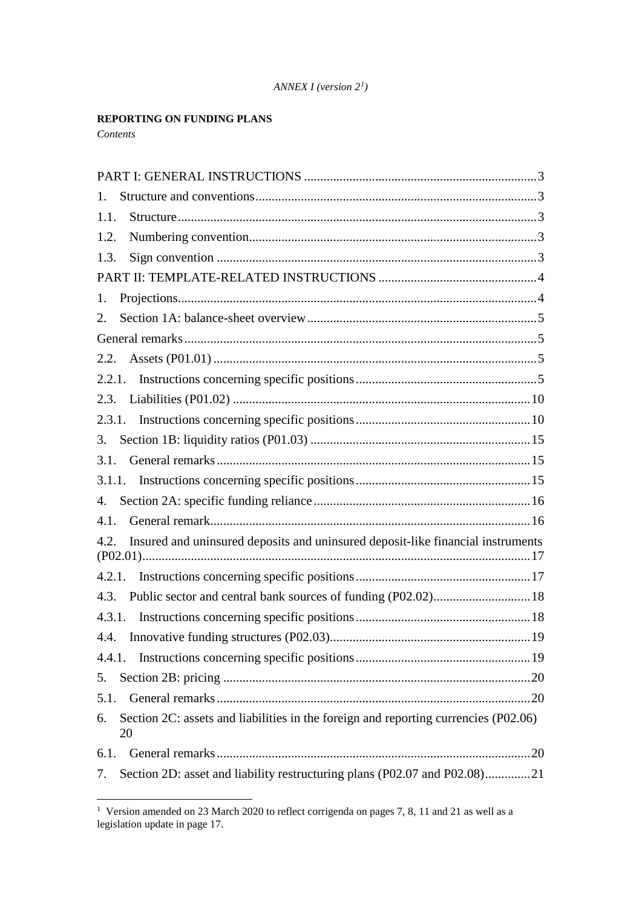#### *ANNEX I (version 2[1](#page-0-0) )*

## **REPORTING ON FUNDING PLANS**

*Contents*

| 1.                                                                                              |
|-------------------------------------------------------------------------------------------------|
| 1.1.                                                                                            |
| 1.2.                                                                                            |
| 1.3.                                                                                            |
|                                                                                                 |
| 1.                                                                                              |
| 2.                                                                                              |
|                                                                                                 |
|                                                                                                 |
|                                                                                                 |
| 2.3.                                                                                            |
|                                                                                                 |
| 3.                                                                                              |
| 3.1.                                                                                            |
|                                                                                                 |
| 4.                                                                                              |
| 4.1.                                                                                            |
| Insured and uninsured deposits and uninsured deposit-like financial instruments<br>4.2.<br>(17  |
|                                                                                                 |
| Public sector and central bank sources of funding (P02.02) 18<br>4.3.                           |
|                                                                                                 |
| 4.4.                                                                                            |
|                                                                                                 |
| 5.                                                                                              |
| 5.1.                                                                                            |
| Section 2C: assets and liabilities in the foreign and reporting currencies (P02.06)<br>6.<br>20 |
|                                                                                                 |
| Section 2D: asset and liability restructuring plans (P02.07 and P02.08)21<br>7.                 |

<span id="page-0-0"></span><sup>&</sup>lt;sup>1</sup> Version amended on 23 March 2020 to reflect corrigenda on pages 7, 8, 11 and 21 as well as a legislation update in page 17.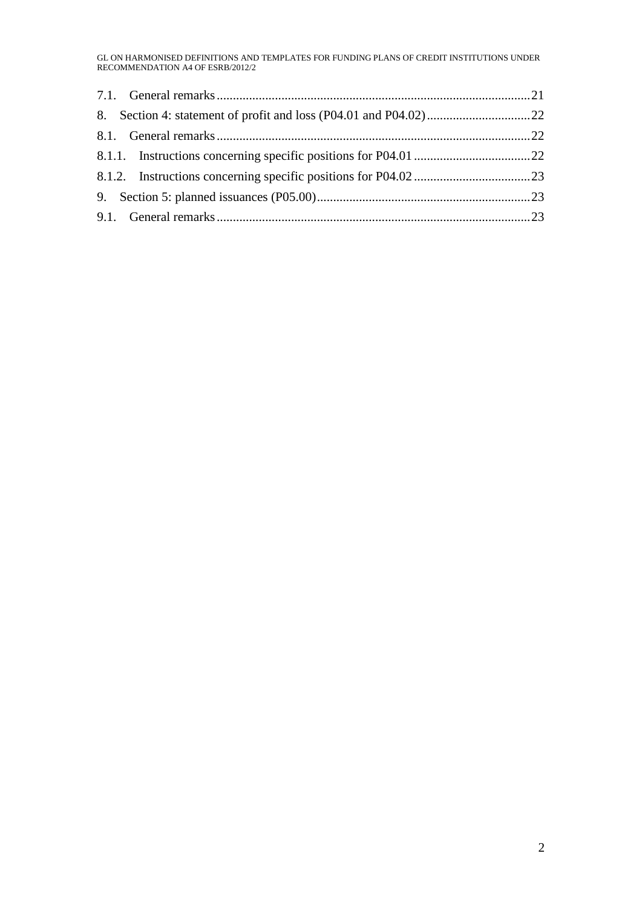GL ON HARMONISED DEFINITIONS AND TEMPLATES FOR FUNDING PLANS OF CREDIT INSTITUTIONS UNDER RECOMMENDATION A4 OF ESRB/2012/2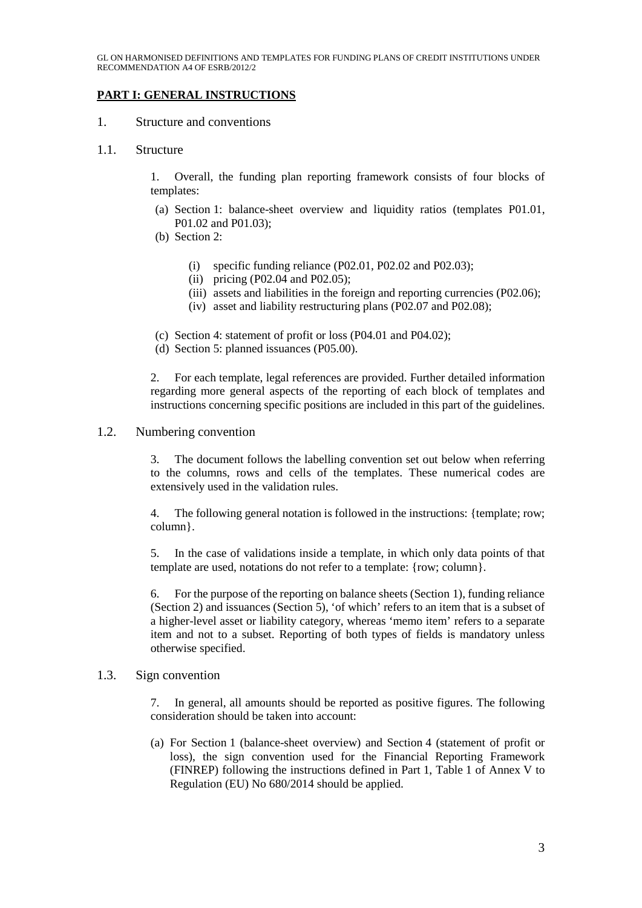## **PART I: GENERAL INSTRUCTIONS**

#### 1. Structure and conventions

#### 1.1. Structure

1. Overall, the funding plan reporting framework consists of four blocks of templates:

- (a) Section 1: balance-sheet overview and liquidity ratios (templates P01.01, P01.02 and P01.03);
- (b) Section 2:
	- (i) specific funding reliance  $(P02.01, P02.02, and P02.03)$ ;
	- (ii) pricing (P02.04 and P02.05);
	- (iii) assets and liabilities in the foreign and reporting currencies (P02.06);
	- (iv) asset and liability restructuring plans (P02.07 and P02.08);
- (c) Section 4: statement of profit or loss (P04.01 and P04.02);
- (d) Section 5: planned issuances (P05.00).

2. For each template, legal references are provided. Further detailed information regarding more general aspects of the reporting of each block of templates and instructions concerning specific positions are included in this part of the guidelines.

#### 1.2. Numbering convention

3. The document follows the labelling convention set out below when referring to the columns, rows and cells of the templates. These numerical codes are extensively used in the validation rules.

4. The following general notation is followed in the instructions: {template; row; column}.

5. In the case of validations inside a template, in which only data points of that template are used, notations do not refer to a template: {row; column}.

6. For the purpose of the reporting on balance sheets (Section 1), funding reliance (Section 2) and issuances (Section 5), 'of which' refers to an item that is a subset of a higher-level asset or liability category, whereas 'memo item' refers to a separate item and not to a subset. Reporting of both types of fields is mandatory unless otherwise specified.

#### 1.3. Sign convention

7. In general, all amounts should be reported as positive figures. The following consideration should be taken into account:

(a) For Section 1 (balance-sheet overview) and Section 4 (statement of profit or loss), the sign convention used for the Financial Reporting Framework (FINREP) following the instructions defined in Part 1, Table 1 of Annex V to Regulation (EU) No 680/2014 should be applied.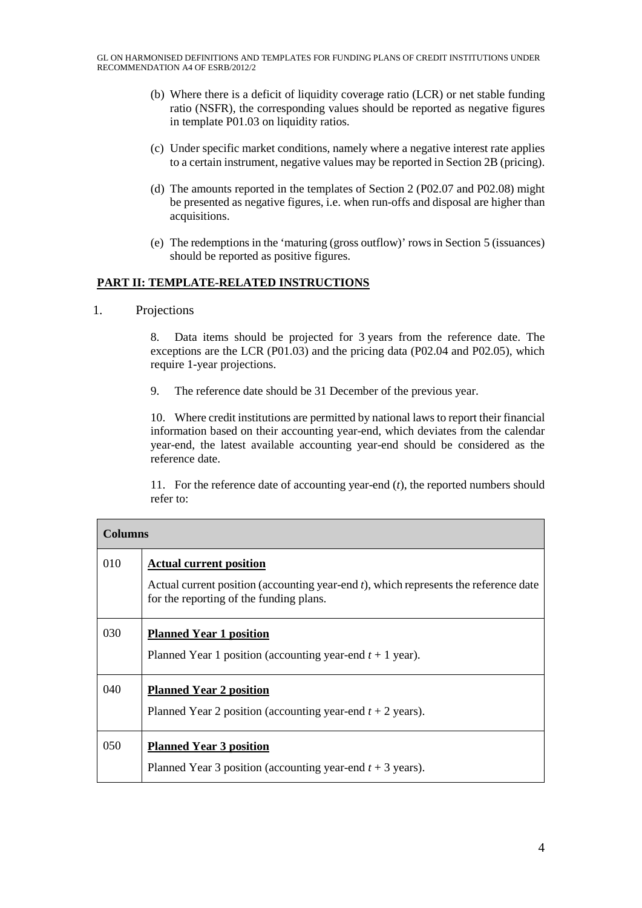- (b) Where there is a deficit of liquidity coverage ratio (LCR) or net stable funding ratio (NSFR), the corresponding values should be reported as negative figures in template P01.03 on liquidity ratios.
- (c) Under specific market conditions, namely where a negative interest rate applies to a certain instrument, negative values may be reported in Section 2B (pricing).
- (d) The amounts reported in the templates of Section 2 (P02.07 and P02.08) might be presented as negative figures, i.e. when run-offs and disposal are higher than acquisitions.
- (e) The redemptions in the 'maturing (gross outflow)' rowsin Section 5 (issuances) should be reported as positive figures.

### **PART II: TEMPLATE-RELATED INSTRUCTIONS**

1. Projections

8. Data items should be projected for 3 years from the reference date. The exceptions are the LCR (P01.03) and the pricing data (P02.04 and P02.05), which require 1-year projections.

9. The reference date should be 31 December of the previous year.

10. Where credit institutions are permitted by national laws to report their financial information based on their accounting year-end, which deviates from the calendar year-end, the latest available accounting year-end should be considered as the reference date.

11. For the reference date of accounting year-end (*t*), the reported numbers should refer to:

| <b>Columns</b> |                                                                                                                                    |
|----------------|------------------------------------------------------------------------------------------------------------------------------------|
| 010            | <b>Actual current position</b>                                                                                                     |
|                | Actual current position (accounting year-end $t$ ), which represents the reference date<br>for the reporting of the funding plans. |
| 030            | <b>Planned Year 1 position</b>                                                                                                     |
|                | Planned Year 1 position (accounting year-end $t + 1$ year).                                                                        |
| 040            | <b>Planned Year 2 position</b>                                                                                                     |
|                | Planned Year 2 position (accounting year-end $t + 2$ years).                                                                       |
| 050            | <b>Planned Year 3 position</b>                                                                                                     |
|                | Planned Year 3 position (accounting year-end $t + 3$ years).                                                                       |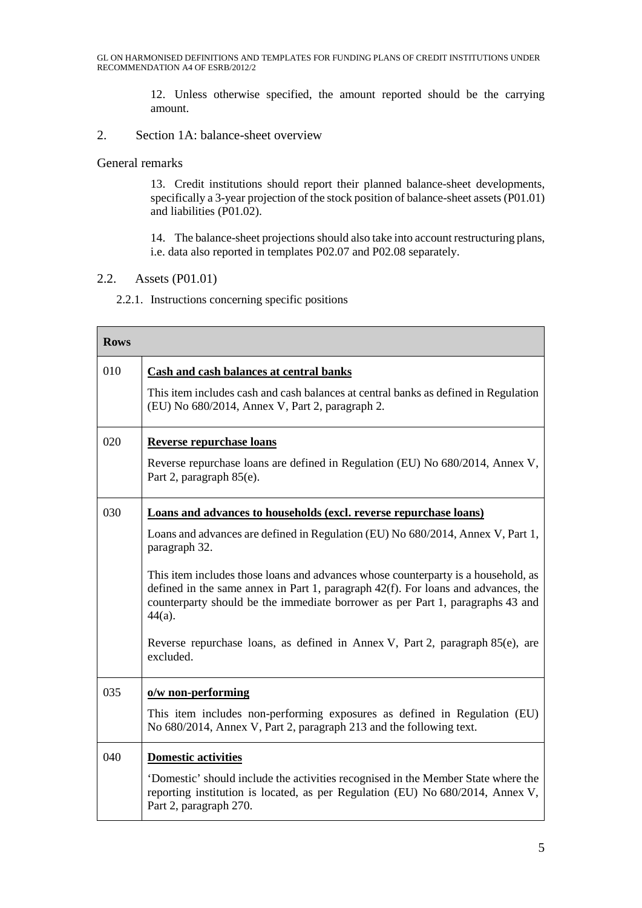12. Unless otherwise specified, the amount reported should be the carrying amount.

2. Section 1A: balance-sheet overview

General remarks

13. Credit institutions should report their planned balance-sheet developments, specifically a 3-year projection of the stock position of balance-sheet assets (P01.01) and liabilities (P01.02).

14. The balance-sheet projections should also take into account restructuring plans, i.e. data also reported in templates P02.07 and P02.08 separately.

### 2.2. Assets (P01.01)

2.2.1. Instructions concerning specific positions

| <b>Rows</b> |                                                                                                                                                                                                                                                                       |
|-------------|-----------------------------------------------------------------------------------------------------------------------------------------------------------------------------------------------------------------------------------------------------------------------|
| 010         | <b>Cash and cash balances at central banks</b>                                                                                                                                                                                                                        |
|             | This item includes cash and cash balances at central banks as defined in Regulation<br>(EU) No 680/2014, Annex V, Part 2, paragraph 2.                                                                                                                                |
| 020         | <b>Reverse repurchase loans</b>                                                                                                                                                                                                                                       |
|             | Reverse repurchase loans are defined in Regulation (EU) No 680/2014, Annex V,<br>Part 2, paragraph 85(e).                                                                                                                                                             |
| 030         | <b>Loans and advances to households (excl. reverse repurchase loans)</b>                                                                                                                                                                                              |
|             | Loans and advances are defined in Regulation (EU) No 680/2014, Annex V, Part 1,<br>paragraph 32.                                                                                                                                                                      |
|             | This item includes those loans and advances whose counterparty is a household, as<br>defined in the same annex in Part 1, paragraph 42(f). For loans and advances, the<br>counterparty should be the immediate borrower as per Part 1, paragraphs 43 and<br>$44(a)$ . |
|             | Reverse repurchase loans, as defined in Annex V, Part 2, paragraph 85(e), are<br>excluded.                                                                                                                                                                            |
| 035         | o/w non-performing                                                                                                                                                                                                                                                    |
|             | This item includes non-performing exposures as defined in Regulation (EU)<br>No 680/2014, Annex V, Part 2, paragraph 213 and the following text.                                                                                                                      |
| 040         | <b>Domestic activities</b>                                                                                                                                                                                                                                            |
|             | Domestic' should include the activities recognised in the Member State where the<br>reporting institution is located, as per Regulation (EU) No 680/2014, Annex V,<br>Part 2, paragraph 270.                                                                          |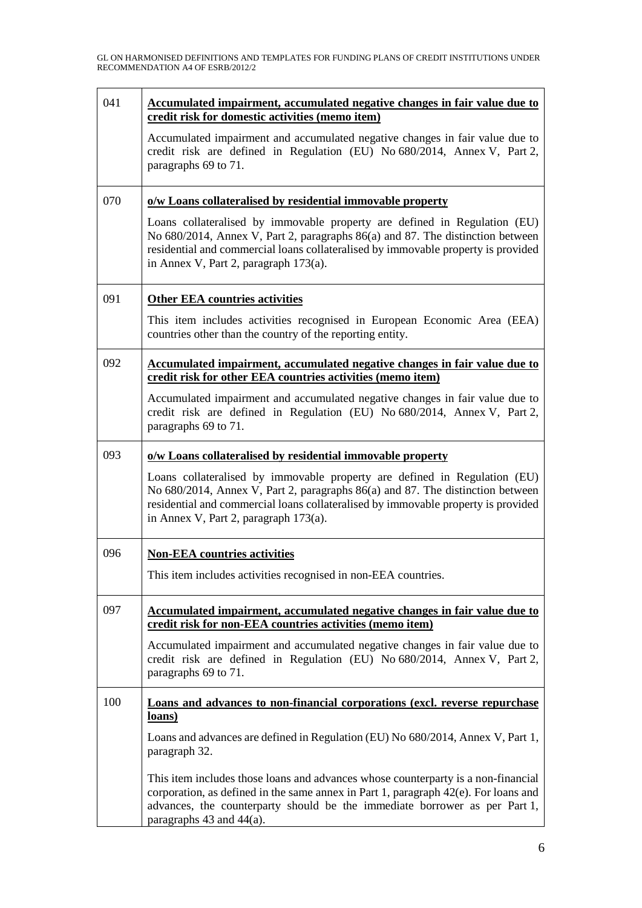| 041 | <u>Accumulated impairment, accumulated negative changes in fair value due to</u><br>credit risk for domestic activities (memo item)                                                                                                                                                          |
|-----|----------------------------------------------------------------------------------------------------------------------------------------------------------------------------------------------------------------------------------------------------------------------------------------------|
|     | Accumulated impairment and accumulated negative changes in fair value due to<br>credit risk are defined in Regulation (EU) No 680/2014, Annex V, Part 2,<br>paragraphs 69 to 71.                                                                                                             |
| 070 | o/w Loans collateralised by residential immovable property                                                                                                                                                                                                                                   |
|     | Loans collateralised by immovable property are defined in Regulation (EU)<br>No 680/2014, Annex V, Part 2, paragraphs 86(a) and 87. The distinction between<br>residential and commercial loans collateralised by immovable property is provided<br>in Annex V, Part 2, paragraph $173(a)$ . |
| 091 | <b>Other EEA countries activities</b>                                                                                                                                                                                                                                                        |
|     | This item includes activities recognised in European Economic Area (EEA)<br>countries other than the country of the reporting entity.                                                                                                                                                        |
| 092 | Accumulated impairment, accumulated negative changes in fair value due to<br>credit risk for other EEA countries activities (memo item)                                                                                                                                                      |
|     | Accumulated impairment and accumulated negative changes in fair value due to<br>credit risk are defined in Regulation (EU) No 680/2014, Annex V, Part 2,<br>paragraphs 69 to 71.                                                                                                             |
| 093 | o/w Loans collateralised by residential immovable property                                                                                                                                                                                                                                   |
|     | Loans collateralised by immovable property are defined in Regulation (EU)<br>No 680/2014, Annex V, Part 2, paragraphs 86(a) and 87. The distinction between<br>residential and commercial loans collateralised by immovable property is provided<br>in Annex V, Part 2, paragraph $173(a)$ . |
| 096 | <b>Non-EEA countries activities</b>                                                                                                                                                                                                                                                          |
|     | This item includes activities recognised in non-EEA countries.                                                                                                                                                                                                                               |
| 097 | <u>Accumulated impairment, accumulated negative changes in fair value due to</u><br>credit risk for non-EEA countries activities (memo item)                                                                                                                                                 |
|     | Accumulated impairment and accumulated negative changes in fair value due to<br>credit risk are defined in Regulation (EU) No 680/2014, Annex V, Part 2,<br>paragraphs 69 to 71.                                                                                                             |
| 100 | <b>Loans and advances to non-financial corporations (excl. reverse repurchase)</b><br>loans)                                                                                                                                                                                                 |
|     | Loans and advances are defined in Regulation (EU) No 680/2014, Annex V, Part 1,<br>paragraph 32.                                                                                                                                                                                             |
|     | This item includes those loans and advances whose counterparty is a non-financial<br>corporation, as defined in the same annex in Part 1, paragraph 42(e). For loans and<br>advances, the counterparty should be the immediate borrower as per Part 1,<br>paragraphs $43$ and $44(a)$ .      |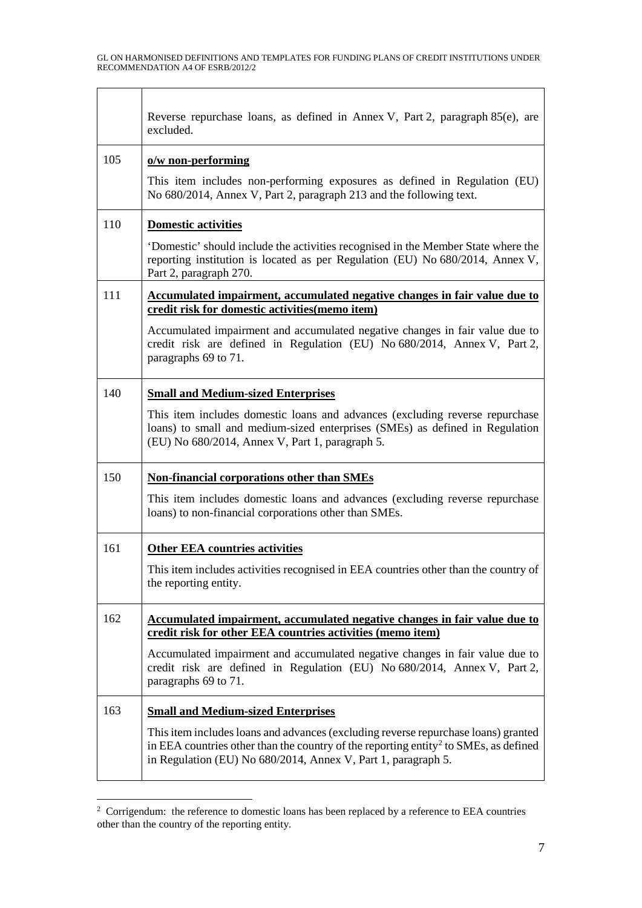$\Gamma$ 

 $\top$ 

|     | Reverse repurchase loans, as defined in Annex V, Part 2, paragraph 85(e), are<br>excluded.                                                                                                                                                              |
|-----|---------------------------------------------------------------------------------------------------------------------------------------------------------------------------------------------------------------------------------------------------------|
| 105 | o/w non-performing                                                                                                                                                                                                                                      |
|     | This item includes non-performing exposures as defined in Regulation (EU)<br>No 680/2014, Annex V, Part 2, paragraph 213 and the following text.                                                                                                        |
| 110 | <b>Domestic activities</b>                                                                                                                                                                                                                              |
|     | 'Domestic' should include the activities recognised in the Member State where the<br>reporting institution is located as per Regulation (EU) No 680/2014, Annex V,<br>Part 2, paragraph 270.                                                            |
| 111 | Accumulated impairment, accumulated negative changes in fair value due to<br>credit risk for domestic activities (memo item)                                                                                                                            |
|     | Accumulated impairment and accumulated negative changes in fair value due to<br>credit risk are defined in Regulation (EU) No 680/2014, Annex V, Part 2,<br>paragraphs 69 to 71.                                                                        |
| 140 | <b>Small and Medium-sized Enterprises</b>                                                                                                                                                                                                               |
|     | This item includes domestic loans and advances (excluding reverse repurchase<br>loans) to small and medium-sized enterprises (SMEs) as defined in Regulation<br>(EU) No 680/2014, Annex V, Part 1, paragraph 5.                                         |
| 150 | Non-financial corporations other than SMEs                                                                                                                                                                                                              |
|     | This item includes domestic loans and advances (excluding reverse repurchase<br>loans) to non-financial corporations other than SMEs.                                                                                                                   |
| 161 | <b>Other EEA countries activities</b>                                                                                                                                                                                                                   |
|     | This item includes activities recognised in EEA countries other than the country of<br>the reporting entity.                                                                                                                                            |
| 162 | Accumulated impairment, accumulated negative changes in fair value due to<br>credit risk for other EEA countries activities (memo item)                                                                                                                 |
|     | Accumulated impairment and accumulated negative changes in fair value due to<br>credit risk are defined in Regulation (EU) No 680/2014, Annex V, Part 2,<br>paragraphs 69 to 71.                                                                        |
| 163 | <b>Small and Medium-sized Enterprises</b>                                                                                                                                                                                                               |
|     | This item includes loans and advances (excluding reverse repurchase loans) granted<br>in EEA countries other than the country of the reporting entity <sup>2</sup> to SMEs, as defined<br>in Regulation (EU) No 680/2014, Annex V, Part 1, paragraph 5. |

<span id="page-6-0"></span> $\frac{1}{2}$  $\overline{a}$  Corrigendum: the reference to domestic loans has been replaced by a reference to EEA countries other than the country of the reporting entity.

 $\overline{\phantom{a}}$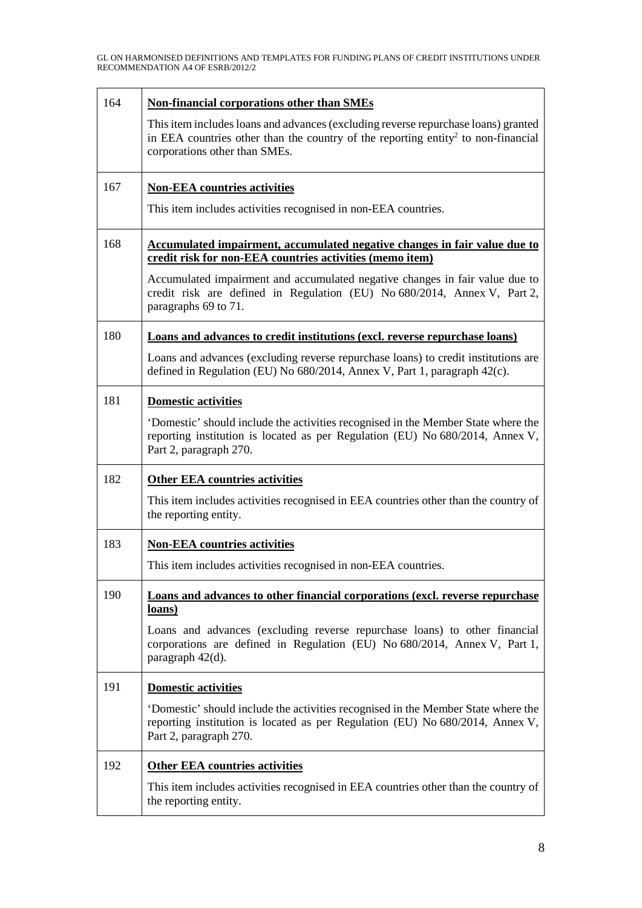| 164 | <b>Non-financial corporations other than SMEs</b>                                                                                                                                                                    |
|-----|----------------------------------------------------------------------------------------------------------------------------------------------------------------------------------------------------------------------|
|     | This item includes loans and advances (excluding reverse repurchase loans) granted<br>in EEA countries other than the country of the reporting entity <sup>2</sup> to non-financial<br>corporations other than SMEs. |
| 167 | <b>Non-EEA</b> countries activities                                                                                                                                                                                  |
|     | This item includes activities recognised in non-EEA countries.                                                                                                                                                       |
| 168 | Accumulated impairment, accumulated negative changes in fair value due to<br>credit risk for non-EEA countries activities (memo item)                                                                                |
|     | Accumulated impairment and accumulated negative changes in fair value due to<br>credit risk are defined in Regulation (EU) No 680/2014, Annex V, Part 2,<br>paragraphs 69 to 71.                                     |
| 180 | Loans and advances to credit institutions (excl. reverse repurchase loans)                                                                                                                                           |
|     | Loans and advances (excluding reverse repurchase loans) to credit institutions are<br>defined in Regulation (EU) No 680/2014, Annex V, Part 1, paragraph 42(c).                                                      |
| 181 | <b>Domestic activities</b>                                                                                                                                                                                           |
|     | 'Domestic' should include the activities recognised in the Member State where the<br>reporting institution is located as per Regulation (EU) No 680/2014, Annex V,<br>Part 2, paragraph 270.                         |
| 182 | <b>Other EEA countries activities</b>                                                                                                                                                                                |
|     | This item includes activities recognised in EEA countries other than the country of<br>the reporting entity.                                                                                                         |
| 183 | <b>Non-EEA countries activities</b>                                                                                                                                                                                  |
|     | This item includes activities recognised in non-EEA countries.                                                                                                                                                       |
| 190 | <b>Loans and advances to other financial corporations (excl. reverse repurchase)</b><br>loans)                                                                                                                       |
|     | Loans and advances (excluding reverse repurchase loans) to other financial<br>corporations are defined in Regulation (EU) No 680/2014, Annex V, Part 1,<br>paragraph 42(d).                                          |
| 191 | <b>Domestic activities</b>                                                                                                                                                                                           |
|     | Domestic' should include the activities recognised in the Member State where the<br>reporting institution is located as per Regulation (EU) No 680/2014, Annex V,<br>Part 2, paragraph 270.                          |
| 192 | <b>Other EEA countries activities</b>                                                                                                                                                                                |
|     | This item includes activities recognised in EEA countries other than the country of<br>the reporting entity.                                                                                                         |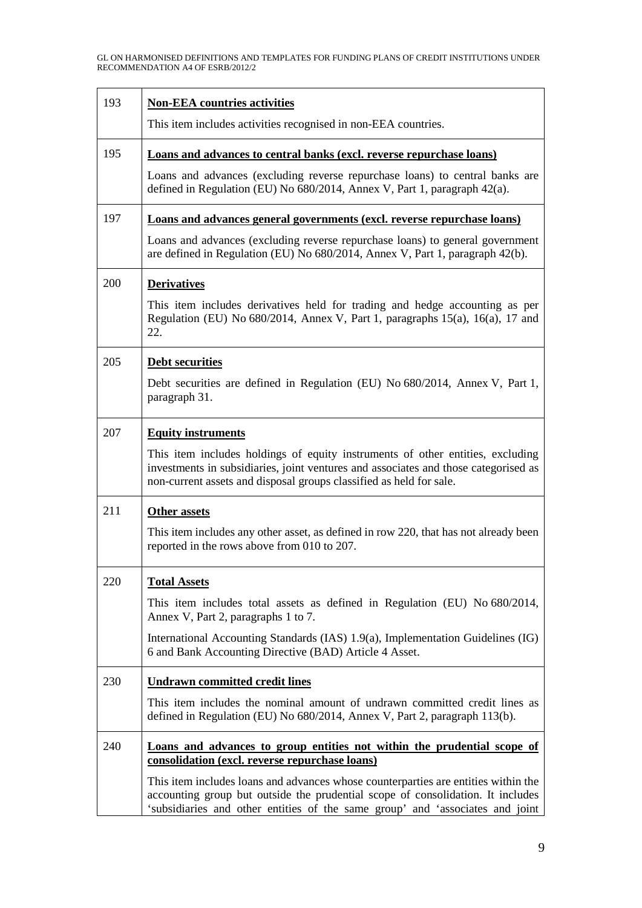| 193 | <b>Non-EEA countries activities</b>                                                                                                                                                                                                                    |
|-----|--------------------------------------------------------------------------------------------------------------------------------------------------------------------------------------------------------------------------------------------------------|
|     | This item includes activities recognised in non-EEA countries.                                                                                                                                                                                         |
| 195 | Loans and advances to central banks (excl. reverse repurchase loans)                                                                                                                                                                                   |
|     | Loans and advances (excluding reverse repurchase loans) to central banks are<br>defined in Regulation (EU) No 680/2014, Annex V, Part 1, paragraph 42(a).                                                                                              |
| 197 | Loans and advances general governments (excl. reverse repurchase loans)                                                                                                                                                                                |
|     | Loans and advances (excluding reverse repurchase loans) to general government<br>are defined in Regulation (EU) No 680/2014, Annex V, Part 1, paragraph 42(b).                                                                                         |
| 200 | <b>Derivatives</b>                                                                                                                                                                                                                                     |
|     | This item includes derivatives held for trading and hedge accounting as per<br>Regulation (EU) No $680/2014$ , Annex V, Part 1, paragraphs $15(a)$ , $16(a)$ , 17 and<br>22.                                                                           |
| 205 | <b>Debt securities</b>                                                                                                                                                                                                                                 |
|     | Debt securities are defined in Regulation (EU) No 680/2014, Annex V, Part 1,<br>paragraph 31.                                                                                                                                                          |
| 207 | <b>Equity instruments</b>                                                                                                                                                                                                                              |
|     | This item includes holdings of equity instruments of other entities, excluding<br>investments in subsidiaries, joint ventures and associates and those categorised as<br>non-current assets and disposal groups classified as held for sale.           |
| 211 | <b>Other assets</b>                                                                                                                                                                                                                                    |
|     | This item includes any other asset, as defined in row 220, that has not already been<br>reported in the rows above from 010 to 207.                                                                                                                    |
| 220 | <b>Total Assets</b>                                                                                                                                                                                                                                    |
|     | This item includes total assets as defined in Regulation (EU) No 680/2014,<br>Annex V, Part 2, paragraphs 1 to 7.                                                                                                                                      |
|     | International Accounting Standards (IAS) 1.9(a), Implementation Guidelines (IG)<br>6 and Bank Accounting Directive (BAD) Article 4 Asset.                                                                                                              |
| 230 | <b>Undrawn committed credit lines</b>                                                                                                                                                                                                                  |
|     | This item includes the nominal amount of undrawn committed credit lines as<br>defined in Regulation (EU) No 680/2014, Annex V, Part 2, paragraph 113(b).                                                                                               |
| 240 | Loans and advances to group entities not within the prudential scope of<br>consolidation (excl. reverse repurchase loans)                                                                                                                              |
|     | This item includes loans and advances whose counterparties are entities within the<br>accounting group but outside the prudential scope of consolidation. It includes<br>'subsidiaries and other entities of the same group' and 'associates and joint |

 $\overline{\phantom{a}}$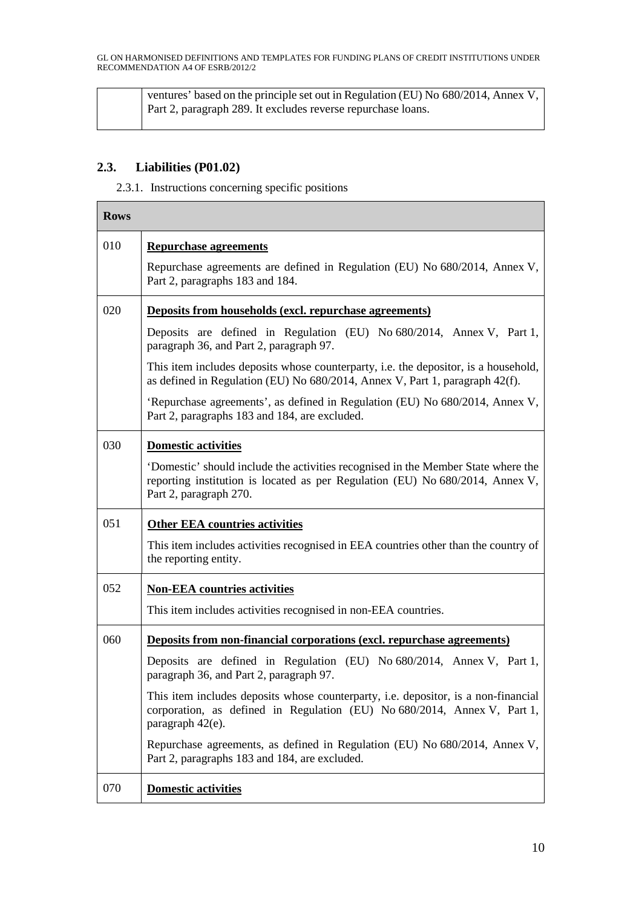| ventures' based on the principle set out in Regulation (EU) No 680/2014, Annex V,<br>Part 2, paragraph 289. It excludes reverse repurchase loans. |
|---------------------------------------------------------------------------------------------------------------------------------------------------|
|                                                                                                                                                   |

## **2.3. Liabilities (P01.02)**

2.3.1. Instructions concerning specific positions

| <b>Rows</b> |                                                                                                                                                                                             |
|-------------|---------------------------------------------------------------------------------------------------------------------------------------------------------------------------------------------|
| 010         | <b>Repurchase agreements</b>                                                                                                                                                                |
|             | Repurchase agreements are defined in Regulation (EU) No 680/2014, Annex V,<br>Part 2, paragraphs 183 and 184.                                                                               |
| 020         | Deposits from households (excl. repurchase agreements)                                                                                                                                      |
|             | Deposits are defined in Regulation (EU) No 680/2014, Annex V, Part 1,<br>paragraph 36, and Part 2, paragraph 97.                                                                            |
|             | This item includes deposits whose counterparty, i.e. the depositor, is a household,<br>as defined in Regulation (EU) No 680/2014, Annex V, Part 1, paragraph 42(f).                         |
|             | 'Repurchase agreements', as defined in Regulation (EU) No 680/2014, Annex V,<br>Part 2, paragraphs 183 and 184, are excluded.                                                               |
| 030         | <b>Domestic activities</b>                                                                                                                                                                  |
|             | Domestic' should include the activities recognised in the Member State where the<br>reporting institution is located as per Regulation (EU) No 680/2014, Annex V,<br>Part 2, paragraph 270. |
| 051         | <b>Other EEA countries activities</b>                                                                                                                                                       |
|             | This item includes activities recognised in EEA countries other than the country of<br>the reporting entity.                                                                                |
| 052         | <b>Non-EEA</b> countries activities                                                                                                                                                         |
|             | This item includes activities recognised in non-EEA countries.                                                                                                                              |
| 060         | <b>Deposits from non-financial corporations (excl. repurchase agreements)</b>                                                                                                               |
|             | Deposits are defined in Regulation (EU) No 680/2014, Annex V, Part 1,<br>paragraph 36, and Part 2, paragraph 97.                                                                            |
|             | This item includes deposits whose counterparty, i.e. depositor, is a non-financial<br>corporation, as defined in Regulation (EU) No 680/2014, Annex V, Part 1,<br>paragraph 42(e).          |
|             | Repurchase agreements, as defined in Regulation (EU) No 680/2014, Annex V,<br>Part 2, paragraphs 183 and 184, are excluded.                                                                 |
| 070         | Domestic activities                                                                                                                                                                         |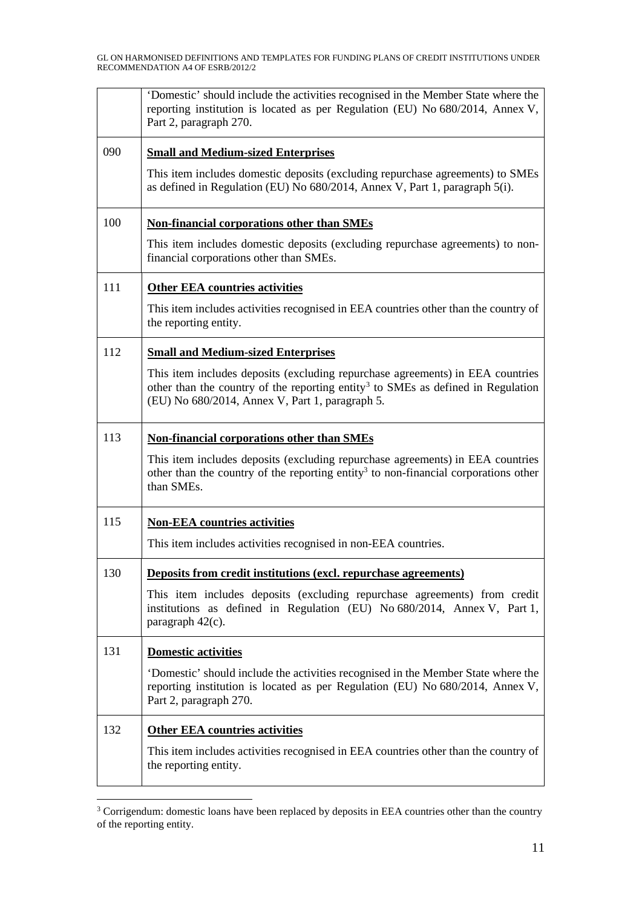|     | Domestic' should include the activities recognised in the Member State where the<br>reporting institution is located as per Regulation (EU) No 680/2014, Annex V,<br>Part 2, paragraph 270.                                       |
|-----|-----------------------------------------------------------------------------------------------------------------------------------------------------------------------------------------------------------------------------------|
| 090 | <b>Small and Medium-sized Enterprises</b>                                                                                                                                                                                         |
|     | This item includes domestic deposits (excluding repurchase agreements) to SMEs<br>as defined in Regulation (EU) No 680/2014, Annex V, Part 1, paragraph 5(i).                                                                     |
| 100 | Non-financial corporations other than SMEs                                                                                                                                                                                        |
|     | This item includes domestic deposits (excluding repurchase agreements) to non-<br>financial corporations other than SMEs.                                                                                                         |
| 111 | <b>Other EEA countries activities</b>                                                                                                                                                                                             |
|     | This item includes activities recognised in EEA countries other than the country of<br>the reporting entity.                                                                                                                      |
| 112 | <b>Small and Medium-sized Enterprises</b>                                                                                                                                                                                         |
|     | This item includes deposits (excluding repurchase agreements) in EEA countries<br>other than the country of the reporting entity <sup>3</sup> to SMEs as defined in Regulation<br>(EU) No 680/2014, Annex V, Part 1, paragraph 5. |
| 113 | <b>Non-financial corporations other than SMEs</b>                                                                                                                                                                                 |
|     | This item includes deposits (excluding repurchase agreements) in EEA countries<br>other than the country of the reporting entity <sup>3</sup> to non-financial corporations other<br>than SMEs.                                   |
| 115 | <b>Non-EEA countries activities</b>                                                                                                                                                                                               |
|     | This item includes activities recognised in non-EEA countries.                                                                                                                                                                    |
| 130 | <b>Deposits from credit institutions (excl. repurchase agreements)</b>                                                                                                                                                            |
|     | This item includes deposits (excluding repurchase agreements) from credit<br>institutions as defined in Regulation (EU) No 680/2014, Annex V, Part 1,<br>paragraph 42(c).                                                         |
| 131 | <b>Domestic activities</b>                                                                                                                                                                                                        |
|     | Domestic' should include the activities recognised in the Member State where the<br>reporting institution is located as per Regulation (EU) No 680/2014, Annex V,<br>Part 2, paragraph 270.                                       |
| 132 | <b>Other EEA countries activities</b>                                                                                                                                                                                             |
|     | This item includes activities recognised in EEA countries other than the country of<br>the reporting entity.                                                                                                                      |

<span id="page-10-0"></span><sup>&</sup>lt;sup>3</sup> Corrigendum: domestic loans have been replaced by deposits in EEA countries other than the country of the reporting entity.

 $\overline{\phantom{0}}$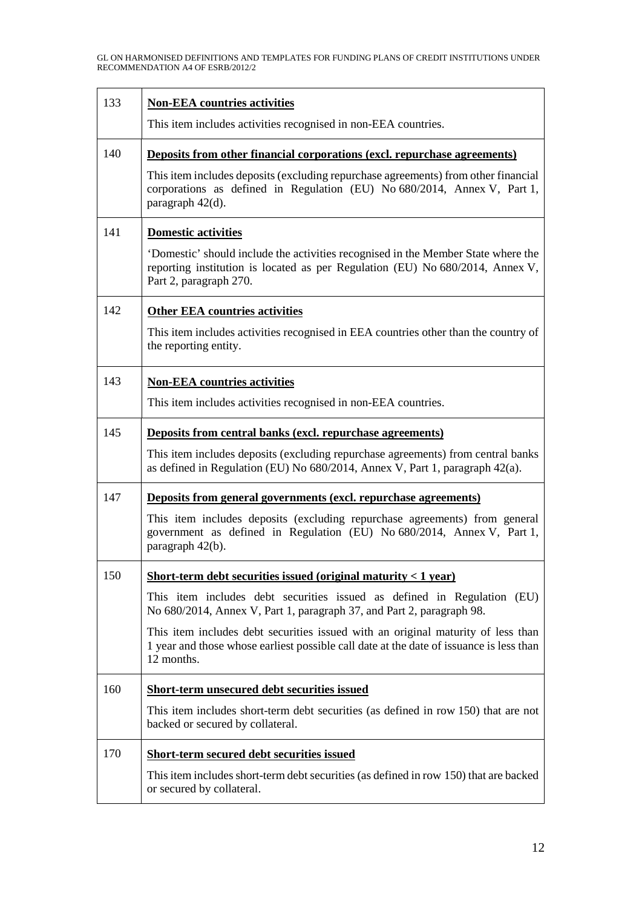| 133 | <b>Non-EEA countries activities</b>                                                                                                                                                         |
|-----|---------------------------------------------------------------------------------------------------------------------------------------------------------------------------------------------|
|     | This item includes activities recognised in non-EEA countries.                                                                                                                              |
| 140 | Deposits from other financial corporations (excl. repurchase agreements)                                                                                                                    |
|     | This item includes deposits (excluding repurchase agreements) from other financial<br>corporations as defined in Regulation (EU) No 680/2014, Annex V, Part 1,<br>paragraph 42(d).          |
| 141 | <b>Domestic activities</b>                                                                                                                                                                  |
|     | Domestic' should include the activities recognised in the Member State where the<br>reporting institution is located as per Regulation (EU) No 680/2014, Annex V,<br>Part 2, paragraph 270. |
| 142 | <b>Other EEA countries activities</b>                                                                                                                                                       |
|     | This item includes activities recognised in EEA countries other than the country of<br>the reporting entity.                                                                                |
| 143 | <b>Non-EEA countries activities</b>                                                                                                                                                         |
|     | This item includes activities recognised in non-EEA countries.                                                                                                                              |
| 145 | Deposits from central banks (excl. repurchase agreements)                                                                                                                                   |
|     | This item includes deposits (excluding repurchase agreements) from central banks<br>as defined in Regulation (EU) No 680/2014, Annex V, Part 1, paragraph 42(a).                            |
| 147 | <b>Deposits from general governments (excl. repurchase agreements)</b>                                                                                                                      |
|     | This item includes deposits (excluding repurchase agreements) from general<br>government as defined in Regulation (EU) No 680/2014, Annex V, Part 1,<br>paragraph 42(b).                    |
| 150 | Short-term debt securities issued (original maturity $<$ 1 year)                                                                                                                            |
|     | This item includes debt securities issued as defined in Regulation (EU)<br>No 680/2014, Annex V, Part 1, paragraph 37, and Part 2, paragraph 98.                                            |
|     | This item includes debt securities issued with an original maturity of less than<br>1 year and those whose earliest possible call date at the date of issuance is less than<br>12 months.   |
| 160 | Short-term unsecured debt securities issued                                                                                                                                                 |
|     | This item includes short-term debt securities (as defined in row 150) that are not<br>backed or secured by collateral.                                                                      |
| 170 | <b>Short-term secured debt securities issued</b>                                                                                                                                            |
|     | This item includes short-term debt securities (as defined in row 150) that are backed<br>or secured by collateral.                                                                          |

 $\overline{\phantom{0}}$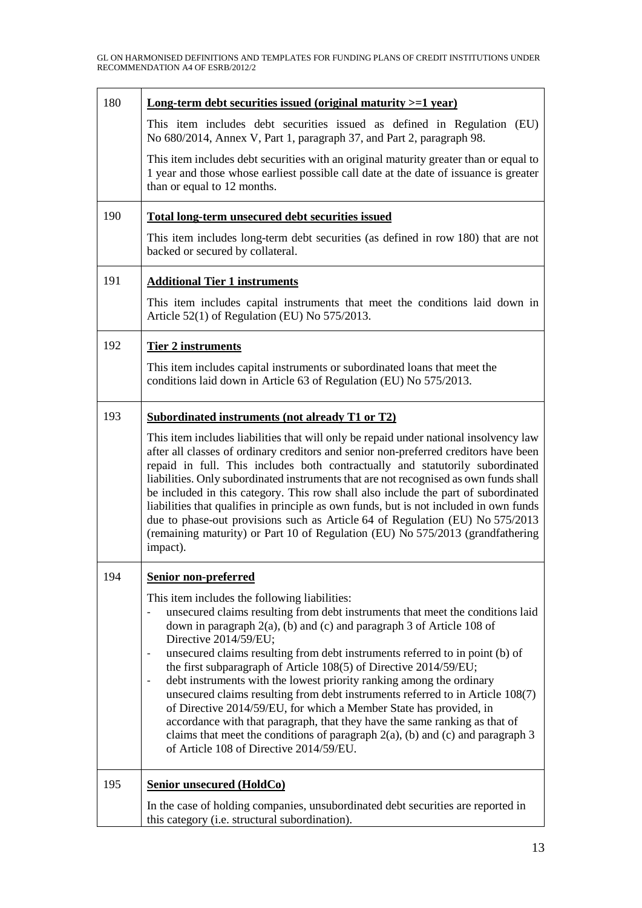| 180 | Long-term debt securities issued (original maturity $>=1$ year)                                                                                                                                                                                                                                                                                                                                                                                                                                                                                                                                                                                                                                                        |
|-----|------------------------------------------------------------------------------------------------------------------------------------------------------------------------------------------------------------------------------------------------------------------------------------------------------------------------------------------------------------------------------------------------------------------------------------------------------------------------------------------------------------------------------------------------------------------------------------------------------------------------------------------------------------------------------------------------------------------------|
|     | This item includes debt securities issued as defined in Regulation (EU)<br>No 680/2014, Annex V, Part 1, paragraph 37, and Part 2, paragraph 98.                                                                                                                                                                                                                                                                                                                                                                                                                                                                                                                                                                       |
|     | This item includes debt securities with an original maturity greater than or equal to<br>1 year and those whose earliest possible call date at the date of issuance is greater<br>than or equal to 12 months.                                                                                                                                                                                                                                                                                                                                                                                                                                                                                                          |
| 190 | <b>Total long-term unsecured debt securities issued</b>                                                                                                                                                                                                                                                                                                                                                                                                                                                                                                                                                                                                                                                                |
|     | This item includes long-term debt securities (as defined in row 180) that are not<br>backed or secured by collateral.                                                                                                                                                                                                                                                                                                                                                                                                                                                                                                                                                                                                  |
| 191 | <b>Additional Tier 1 instruments</b>                                                                                                                                                                                                                                                                                                                                                                                                                                                                                                                                                                                                                                                                                   |
|     | This item includes capital instruments that meet the conditions laid down in<br>Article 52(1) of Regulation (EU) No 575/2013.                                                                                                                                                                                                                                                                                                                                                                                                                                                                                                                                                                                          |
| 192 | <b>Tier 2 instruments</b>                                                                                                                                                                                                                                                                                                                                                                                                                                                                                                                                                                                                                                                                                              |
|     | This item includes capital instruments or subordinated loans that meet the<br>conditions laid down in Article 63 of Regulation (EU) No 575/2013.                                                                                                                                                                                                                                                                                                                                                                                                                                                                                                                                                                       |
| 193 | <b>Subordinated instruments (not already T1 or T2)</b>                                                                                                                                                                                                                                                                                                                                                                                                                                                                                                                                                                                                                                                                 |
|     | This item includes liabilities that will only be repaid under national insolvency law<br>after all classes of ordinary creditors and senior non-preferred creditors have been<br>repaid in full. This includes both contractually and statutorily subordinated<br>liabilities. Only subordinated instruments that are not recognised as own funds shall<br>be included in this category. This row shall also include the part of subordinated<br>liabilities that qualifies in principle as own funds, but is not included in own funds<br>due to phase-out provisions such as Article 64 of Regulation (EU) No 575/2013<br>(remaining maturity) or Part 10 of Regulation (EU) No 575/2013 (grandfathering<br>impact). |
| 194 | <b>Senior non-preferred</b>                                                                                                                                                                                                                                                                                                                                                                                                                                                                                                                                                                                                                                                                                            |
|     | This item includes the following liabilities:<br>unsecured claims resulting from debt instruments that meet the conditions laid<br>down in paragraph $2(a)$ , (b) and (c) and paragraph 3 of Article 108 of<br>Directive 2014/59/EU;                                                                                                                                                                                                                                                                                                                                                                                                                                                                                   |
|     | unsecured claims resulting from debt instruments referred to in point (b) of<br>the first subparagraph of Article 108(5) of Directive 2014/59/EU;<br>debt instruments with the lowest priority ranking among the ordinary<br>unsecured claims resulting from debt instruments referred to in Article 108(7)<br>of Directive 2014/59/EU, for which a Member State has provided, in<br>accordance with that paragraph, that they have the same ranking as that of<br>claims that meet the conditions of paragraph $2(a)$ , (b) and (c) and paragraph 3<br>of Article 108 of Directive 2014/59/EU.                                                                                                                        |
| 195 | <b>Senior unsecured (HoldCo)</b>                                                                                                                                                                                                                                                                                                                                                                                                                                                                                                                                                                                                                                                                                       |
|     | In the case of holding companies, unsubordinated debt securities are reported in<br>this category (i.e. structural subordination).                                                                                                                                                                                                                                                                                                                                                                                                                                                                                                                                                                                     |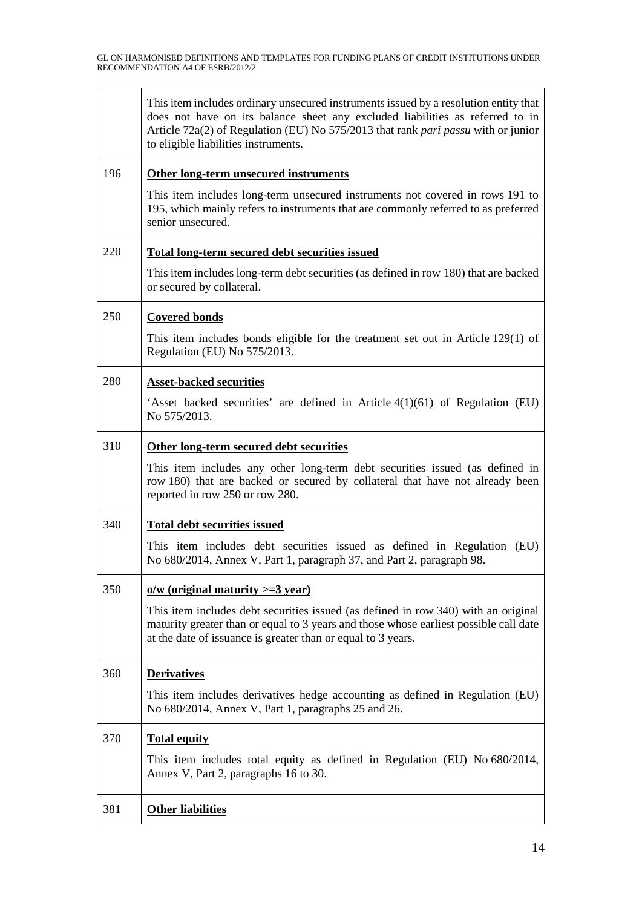| 381 | <b>Other liabilities</b>                                                                                                                                                                                                                                                                           |
|-----|----------------------------------------------------------------------------------------------------------------------------------------------------------------------------------------------------------------------------------------------------------------------------------------------------|
| 370 | <b>Total equity</b><br>This item includes total equity as defined in Regulation (EU) No 680/2014,<br>Annex V, Part 2, paragraphs 16 to 30.                                                                                                                                                         |
|     | This item includes derivatives hedge accounting as defined in Regulation (EU)<br>No 680/2014, Annex V, Part 1, paragraphs 25 and 26.                                                                                                                                                               |
| 360 | <b>Derivatives</b>                                                                                                                                                                                                                                                                                 |
|     | This item includes debt securities issued (as defined in row 340) with an original<br>maturity greater than or equal to 3 years and those whose earliest possible call date<br>at the date of issuance is greater than or equal to 3 years.                                                        |
| 350 | $o/w$ (original maturity $>=$ 3 year)                                                                                                                                                                                                                                                              |
|     | This item includes debt securities issued as defined in Regulation (EU)<br>No 680/2014, Annex V, Part 1, paragraph 37, and Part 2, paragraph 98.                                                                                                                                                   |
| 340 | <b>Total debt securities issued</b>                                                                                                                                                                                                                                                                |
|     | This item includes any other long-term debt securities issued (as defined in<br>row 180) that are backed or secured by collateral that have not already been<br>reported in row 250 or row 280.                                                                                                    |
| 310 | Other long-term secured debt securities                                                                                                                                                                                                                                                            |
|     | 'Asset backed securities' are defined in Article $4(1)(61)$ of Regulation (EU)<br>No 575/2013.                                                                                                                                                                                                     |
| 280 | <b>Asset-backed securities</b>                                                                                                                                                                                                                                                                     |
|     | This item includes bonds eligible for the treatment set out in Article $129(1)$ of<br>Regulation (EU) No 575/2013.                                                                                                                                                                                 |
| 250 | <b>Covered bonds</b>                                                                                                                                                                                                                                                                               |
|     | This item includes long-term debt securities (as defined in row 180) that are backed<br>or secured by collateral.                                                                                                                                                                                  |
| 220 | <b>Total long-term secured debt securities issued</b>                                                                                                                                                                                                                                              |
|     | This item includes long-term unsecured instruments not covered in rows 191 to<br>195, which mainly refers to instruments that are commonly referred to as preferred<br>senior unsecured.                                                                                                           |
| 196 | Other long-term unsecured instruments                                                                                                                                                                                                                                                              |
|     | This item includes ordinary unsecured instruments issued by a resolution entity that<br>does not have on its balance sheet any excluded liabilities as referred to in<br>Article 72a(2) of Regulation (EU) No 575/2013 that rank pari passu with or junior<br>to eligible liabilities instruments. |
|     |                                                                                                                                                                                                                                                                                                    |

 $\overline{\mathsf{L}}$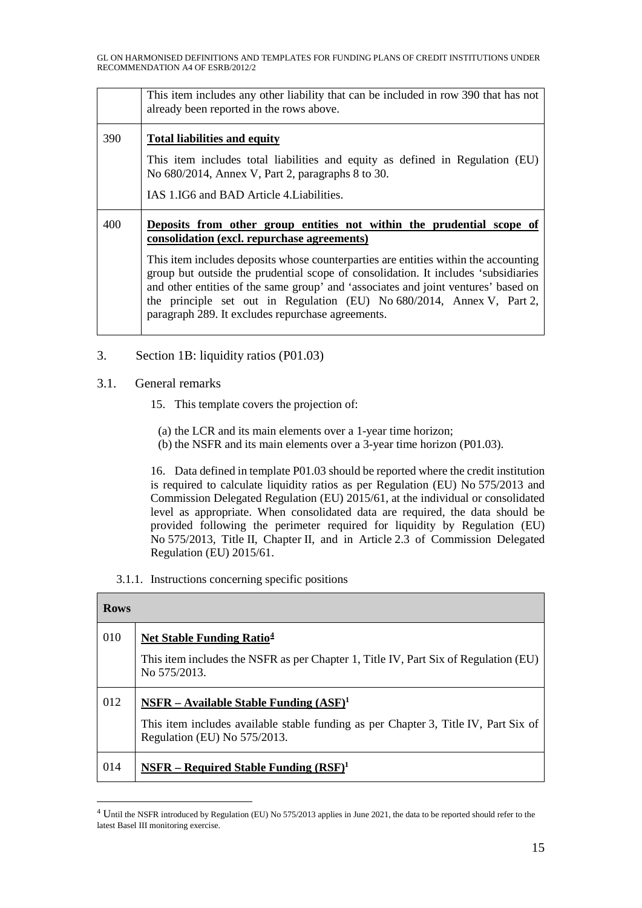|     | This item includes any other liability that can be included in row 390 that has not<br>already been reported in the rows above.    |
|-----|------------------------------------------------------------------------------------------------------------------------------------|
| 390 | <b>Total liabilities and equity</b>                                                                                                |
|     | This item includes total liabilities and equity as defined in Regulation (EU)<br>No 680/2014, Annex V, Part 2, paragraphs 8 to 30. |
|     | IAS 1.IG6 and BAD Article 4. Liabilities.                                                                                          |
|     |                                                                                                                                    |
| 400 | Deposits from other group entities not within the prudential scope of<br>consolidation (excl. repurchase agreements)               |

3. Section 1B: liquidity ratios (P01.03)

## 3.1. General remarks

- 15. This template covers the projection of:
	- (a) the LCR and its main elements over a 1-year time horizon;
	- (b) the NSFR and its main elements over a 3-year time horizon (P01.03).

16. Data defined in template P01.03 should be reported where the credit institution is required to calculate liquidity ratios as per Regulation (EU) No 575/2013 and Commission Delegated Regulation (EU) 2015/61, at the individual or consolidated level as appropriate. When consolidated data are required, the data should be provided following the perimeter required for liquidity by Regulation (EU) No 575/2013, Title II, Chapter II, and in Article 2.3 of Commission Delegated Regulation (EU) 2015/61.

## 3.1.1. Instructions concerning specific positions

| <b>Rows</b> |                                                                                                                     |  |
|-------------|---------------------------------------------------------------------------------------------------------------------|--|
| 010         | <b>Net Stable Funding Ratio<sup>4</sup></b>                                                                         |  |
|             | This item includes the NSFR as per Chapter 1, Title IV, Part Six of Regulation (EU)<br>No 575/2013.                 |  |
| 012         | NSFR – Available Stable Funding $(ASF)^1$                                                                           |  |
|             | This item includes available stable funding as per Chapter 3, Title IV, Part Six of<br>Regulation (EU) No 575/2013. |  |
| 014         | $NSFR - Required Stable Funding (RSF)1$                                                                             |  |

<span id="page-14-0"></span><sup>&</sup>lt;sup>4</sup> Until the NSFR introduced by Regulation (EU) No 575/2013 applies in June 2021, the data to be reported should refer to the latest Basel III monitoring exercise.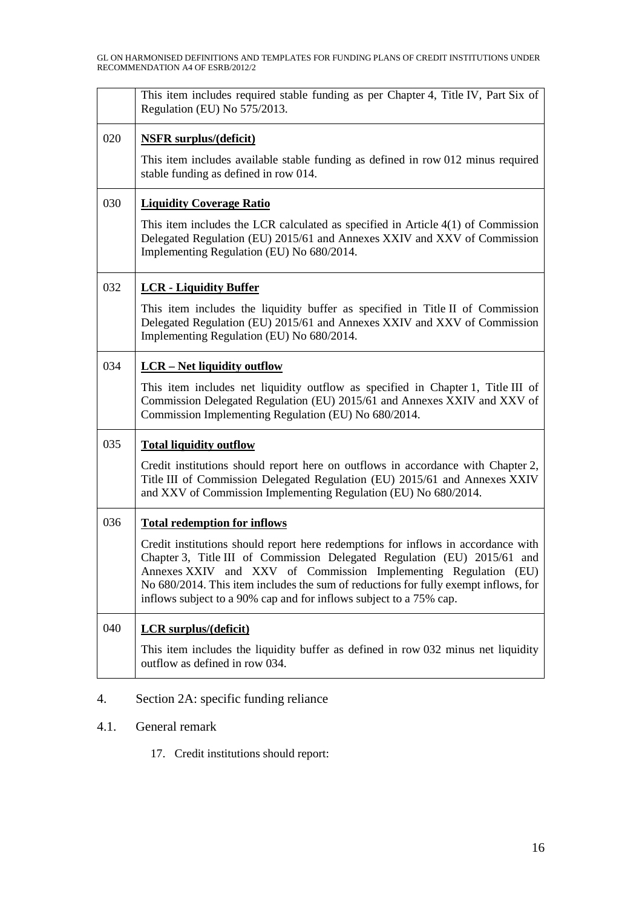| This item includes required stable funding as per Chapter 4, Title IV, Part Six of<br>Regulation (EU) No 575/2013.                                                                                                                                                                                                                                                                            |
|-----------------------------------------------------------------------------------------------------------------------------------------------------------------------------------------------------------------------------------------------------------------------------------------------------------------------------------------------------------------------------------------------|
| <b>NSFR</b> surplus/(deficit)                                                                                                                                                                                                                                                                                                                                                                 |
| This item includes available stable funding as defined in row 012 minus required<br>stable funding as defined in row 014.                                                                                                                                                                                                                                                                     |
| <b>Liquidity Coverage Ratio</b>                                                                                                                                                                                                                                                                                                                                                               |
| This item includes the LCR calculated as specified in Article $4(1)$ of Commission<br>Delegated Regulation (EU) 2015/61 and Annexes XXIV and XXV of Commission<br>Implementing Regulation (EU) No 680/2014.                                                                                                                                                                                   |
| <b>LCR</b> - Liquidity Buffer                                                                                                                                                                                                                                                                                                                                                                 |
| This item includes the liquidity buffer as specified in Title II of Commission<br>Delegated Regulation (EU) 2015/61 and Annexes XXIV and XXV of Commission<br>Implementing Regulation (EU) No 680/2014.                                                                                                                                                                                       |
| <b>LCR</b> – Net liquidity outflow                                                                                                                                                                                                                                                                                                                                                            |
| This item includes net liquidity outflow as specified in Chapter 1, Title III of<br>Commission Delegated Regulation (EU) 2015/61 and Annexes XXIV and XXV of<br>Commission Implementing Regulation (EU) No 680/2014.                                                                                                                                                                          |
| <b>Total liquidity outflow</b>                                                                                                                                                                                                                                                                                                                                                                |
| Credit institutions should report here on outflows in accordance with Chapter 2,<br>Title III of Commission Delegated Regulation (EU) 2015/61 and Annexes XXIV<br>and XXV of Commission Implementing Regulation (EU) No 680/2014.                                                                                                                                                             |
| <b>Total redemption for inflows</b>                                                                                                                                                                                                                                                                                                                                                           |
| Credit institutions should report here redemptions for inflows in accordance with<br>Chapter 3, Title III of Commission Delegated Regulation (EU) 2015/61 and<br>Annexes XXIV and XXV of Commission Implementing Regulation (EU)<br>No 680/2014. This item includes the sum of reductions for fully exempt inflows, for<br>inflows subject to a 90% cap and for inflows subject to a 75% cap. |
| <b>LCR</b> surplus/(deficit)                                                                                                                                                                                                                                                                                                                                                                  |
| This item includes the liquidity buffer as defined in row 032 minus net liquidity<br>outflow as defined in row 034.                                                                                                                                                                                                                                                                           |
|                                                                                                                                                                                                                                                                                                                                                                                               |

- 4. Section 2A: specific funding reliance
- 4.1. General remark
	- 17. Credit institutions should report: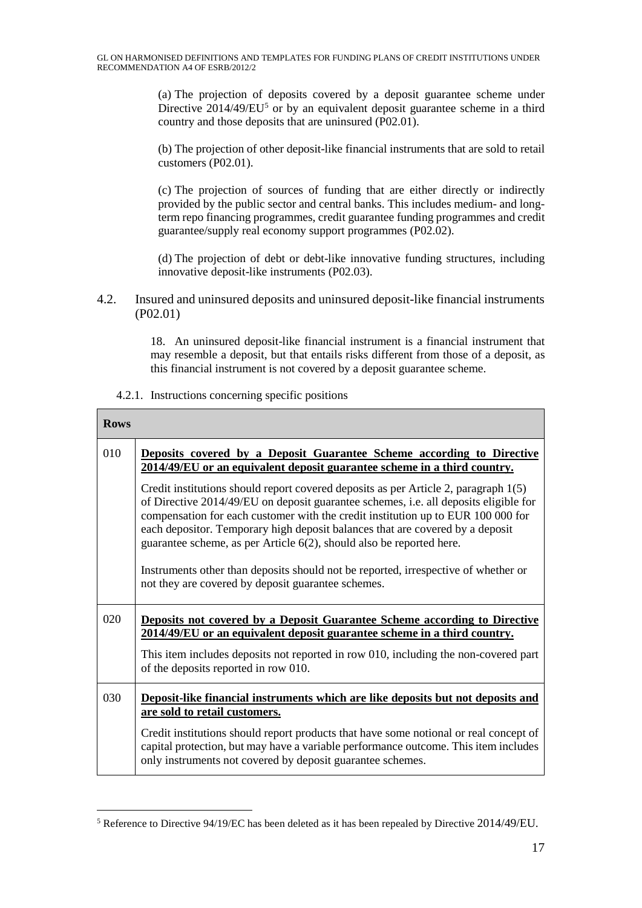(a) The projection of deposits covered by a deposit guarantee scheme under Directive  $2014/49/EU^5$  $2014/49/EU^5$  or by an equivalent deposit guarantee scheme in a third country and those deposits that are uninsured (P02.01).

(b) The projection of other deposit-like financial instruments that are sold to retail customers (P02.01).

(c) The projection of sources of funding that are either directly or indirectly provided by the public sector and central banks. This includes medium- and longterm repo financing programmes, credit guarantee funding programmes and credit guarantee/supply real economy support programmes (P02.02).

(d) The projection of debt or debt-like innovative funding structures, including innovative deposit-like instruments (P02.03).

4.2. Insured and uninsured deposits and uninsured deposit-like financial instruments (P02.01)

> 18. An uninsured deposit-like financial instrument is a financial instrument that may resemble a deposit, but that entails risks different from those of a deposit, as this financial instrument is not covered by a deposit guarantee scheme.

4.2.1. Instructions concerning specific positions

| <b>Rows</b> |                                                                                                                                                                                                                                                                                                                                                                                                                          |
|-------------|--------------------------------------------------------------------------------------------------------------------------------------------------------------------------------------------------------------------------------------------------------------------------------------------------------------------------------------------------------------------------------------------------------------------------|
| 010         | Deposits covered by a Deposit Guarantee Scheme according to Directive<br>2014/49/EU or an equivalent deposit guarantee scheme in a third country.                                                                                                                                                                                                                                                                        |
|             | Credit institutions should report covered deposits as per Article 2, paragraph 1(5)<br>of Directive 2014/49/EU on deposit guarantee schemes, i.e. all deposits eligible for<br>compensation for each customer with the credit institution up to EUR 100 000 for<br>each depositor. Temporary high deposit balances that are covered by a deposit<br>guarantee scheme, as per Article 6(2), should also be reported here. |
|             | Instruments other than deposits should not be reported, irrespective of whether or<br>not they are covered by deposit guarantee schemes.                                                                                                                                                                                                                                                                                 |
| 020         | <b>Deposits not covered by a Deposit Guarantee Scheme according to Directive</b><br>2014/49/EU or an equivalent deposit guarantee scheme in a third country.                                                                                                                                                                                                                                                             |
|             | This item includes deposits not reported in row 010, including the non-covered part<br>of the deposits reported in row 010.                                                                                                                                                                                                                                                                                              |
| 030         | Deposit-like financial instruments which are like deposits but not deposits and<br>are sold to retail customers.                                                                                                                                                                                                                                                                                                         |
|             | Credit institutions should report products that have some notional or real concept of<br>capital protection, but may have a variable performance outcome. This item includes<br>only instruments not covered by deposit guarantee schemes.                                                                                                                                                                               |

<span id="page-16-0"></span> <sup>5</sup> Reference to Directive 94/19/EC has been deleted as it has been repealed by Directive 2014/49/EU.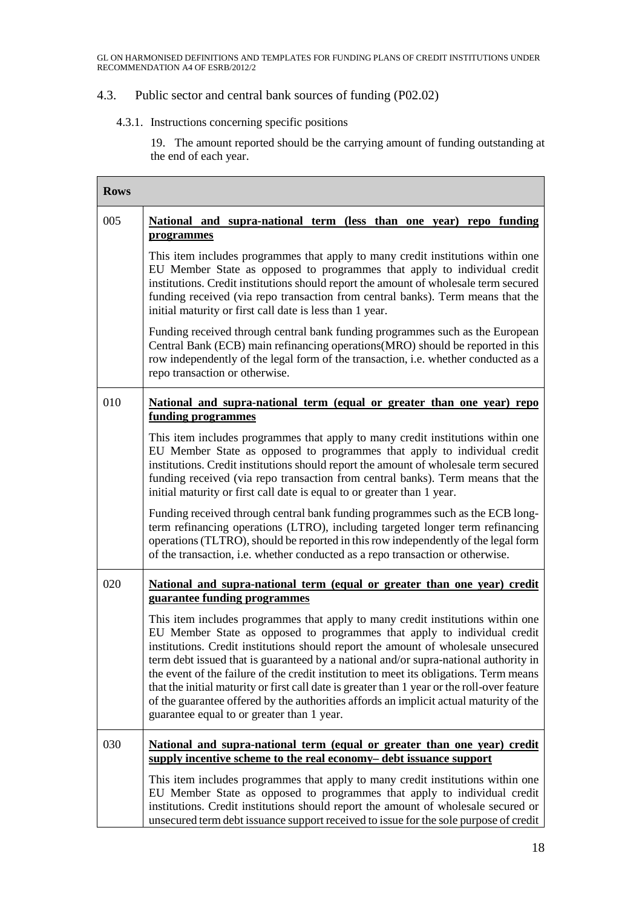## 4.3. Public sector and central bank sources of funding (P02.02)

# 4.3.1. Instructions concerning specific positions

19. The amount reported should be the carrying amount of funding outstanding at the end of each year.

| <b>Rows</b> |                                                                                                                                                                                                                                                                                                                                                                                                                                                                                                                                                                                                                                                                            |
|-------------|----------------------------------------------------------------------------------------------------------------------------------------------------------------------------------------------------------------------------------------------------------------------------------------------------------------------------------------------------------------------------------------------------------------------------------------------------------------------------------------------------------------------------------------------------------------------------------------------------------------------------------------------------------------------------|
| 005         | National and supra-national term (less than one year) repo funding<br>programmes                                                                                                                                                                                                                                                                                                                                                                                                                                                                                                                                                                                           |
|             | This item includes programmes that apply to many credit institutions within one<br>EU Member State as opposed to programmes that apply to individual credit<br>institutions. Credit institutions should report the amount of wholesale term secured<br>funding received (via repo transaction from central banks). Term means that the<br>initial maturity or first call date is less than 1 year.                                                                                                                                                                                                                                                                         |
|             | Funding received through central bank funding programmes such as the European<br>Central Bank (ECB) main refinancing operations(MRO) should be reported in this<br>row independently of the legal form of the transaction, i.e. whether conducted as a<br>repo transaction or otherwise.                                                                                                                                                                                                                                                                                                                                                                                   |
| 010         | National and supra-national term (equal or greater than one year) repo<br>funding programmes                                                                                                                                                                                                                                                                                                                                                                                                                                                                                                                                                                               |
|             | This item includes programmes that apply to many credit institutions within one<br>EU Member State as opposed to programmes that apply to individual credit<br>institutions. Credit institutions should report the amount of wholesale term secured<br>funding received (via repo transaction from central banks). Term means that the<br>initial maturity or first call date is equal to or greater than 1 year.                                                                                                                                                                                                                                                          |
|             | Funding received through central bank funding programmes such as the ECB long-<br>term refinancing operations (LTRO), including targeted longer term refinancing<br>operations (TLTRO), should be reported in this row independently of the legal form<br>of the transaction, i.e. whether conducted as a repo transaction or otherwise.                                                                                                                                                                                                                                                                                                                                   |
| 020         | National and supra-national term (equal or greater than one year) credit<br>guarantee funding programmes                                                                                                                                                                                                                                                                                                                                                                                                                                                                                                                                                                   |
|             | This item includes programmes that apply to many credit institutions within one<br>EU Member State as opposed to programmes that apply to individual credit<br>institutions. Credit institutions should report the amount of wholesale unsecured<br>term debt issued that is guaranteed by a national and/or supra-national authority in<br>the event of the failure of the credit institution to meet its obligations. Term means<br>that the initial maturity or first call date is greater than 1 year or the roll-over feature<br>of the guarantee offered by the authorities affords an implicit actual maturity of the<br>guarantee equal to or greater than 1 year. |
| 030         | National and supra-national term (equal or greater than one year) credit<br>supply incentive scheme to the real economy– debt issuance support                                                                                                                                                                                                                                                                                                                                                                                                                                                                                                                             |
|             | This item includes programmes that apply to many credit institutions within one<br>EU Member State as opposed to programmes that apply to individual credit<br>institutions. Credit institutions should report the amount of wholesale secured or<br>unsecured term debt issuance support received to issue for the sole purpose of credit                                                                                                                                                                                                                                                                                                                                 |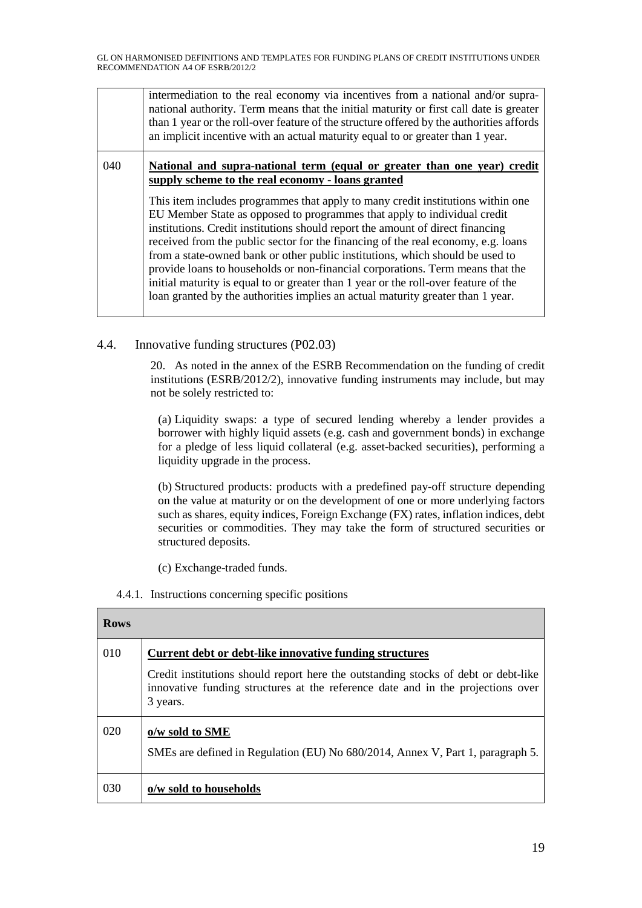|     | intermediation to the real economy via incentives from a national and/or supra-<br>national authority. Term means that the initial maturity or first call date is greater<br>than 1 year or the roll-over feature of the structure offered by the authorities affords<br>an implicit incentive with an actual maturity equal to or greater than 1 year.                                                                                                                                                                                                                                                                                                                                                                                                                                                          |
|-----|------------------------------------------------------------------------------------------------------------------------------------------------------------------------------------------------------------------------------------------------------------------------------------------------------------------------------------------------------------------------------------------------------------------------------------------------------------------------------------------------------------------------------------------------------------------------------------------------------------------------------------------------------------------------------------------------------------------------------------------------------------------------------------------------------------------|
| 040 | National and supra-national term (equal or greater than one year) credit<br>supply scheme to the real economy - loans granted<br>This item includes programmes that apply to many credit institutions within one<br>EU Member State as opposed to programmes that apply to individual credit<br>institutions. Credit institutions should report the amount of direct financing<br>received from the public sector for the financing of the real economy, e.g. loans<br>from a state-owned bank or other public institutions, which should be used to<br>provide loans to households or non-financial corporations. Term means that the<br>initial maturity is equal to or greater than 1 year or the roll-over feature of the<br>loan granted by the authorities implies an actual maturity greater than 1 year. |

## 4.4. Innovative funding structures (P02.03)

20. As noted in the annex of the ESRB Recommendation on the funding of credit institutions (ESRB/2012/2), innovative funding instruments may include, but may not be solely restricted to:

(a) Liquidity swaps: a type of secured lending whereby a lender provides a borrower with highly liquid assets (e.g. cash and government bonds) in exchange for a pledge of less liquid collateral (e.g. asset-backed securities), performing a liquidity upgrade in the process.

(b) Structured products: products with a predefined pay-off structure depending on the value at maturity or on the development of one or more underlying factors such as shares, equity indices, Foreign Exchange (FX) rates, inflation indices, debt securities or commodities. They may take the form of structured securities or structured deposits.

(c) Exchange-traded funds.

4.4.1. Instructions concerning specific positions

| <b>Rows</b> |                                                                                                                                                                                                                                              |
|-------------|----------------------------------------------------------------------------------------------------------------------------------------------------------------------------------------------------------------------------------------------|
| 010         | Current debt or debt-like innovative funding structures<br>Credit institutions should report here the outstanding stocks of debt or debt-like<br>innovative funding structures at the reference date and in the projections over<br>3 years. |
| 020         | o/w sold to SME<br>SMEs are defined in Regulation (EU) No 680/2014, Annex V, Part 1, paragraph 5.                                                                                                                                            |
| 030         | o/w sold to households                                                                                                                                                                                                                       |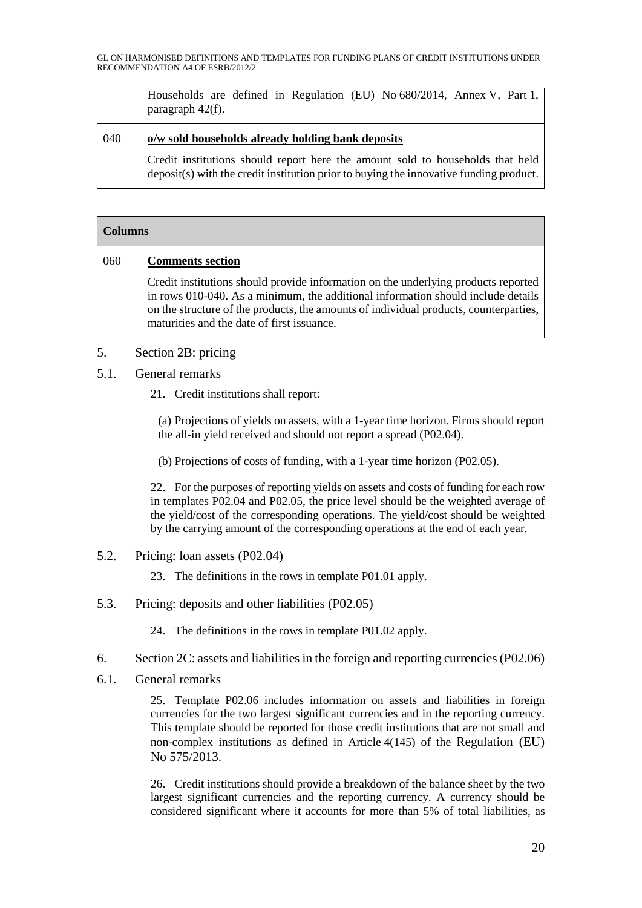GL ON HARMONISED DEFINITIONS AND TEMPLATES FOR FUNDING PLANS OF CREDIT INSTITUTIONS UNDER RECOMMENDATION A4 OF ESRB/2012/2

|     | Households are defined in Regulation (EU) No $680/2014$ , Annex V, Part 1,<br>paragraph 42(f).                                      |
|-----|-------------------------------------------------------------------------------------------------------------------------------------|
| 040 | o/w sold households already holding bank deposits<br>Credit institutions should report here the amount sold to households that held |
|     | deposit(s) with the credit institution prior to buying the innovative funding product.                                              |

| <b>Columns</b> |                                                                                                                                                                                                                                                                                                               |
|----------------|---------------------------------------------------------------------------------------------------------------------------------------------------------------------------------------------------------------------------------------------------------------------------------------------------------------|
| 060            | <b>Comments section</b>                                                                                                                                                                                                                                                                                       |
|                | Credit institutions should provide information on the underlying products reported<br>in rows 010-040. As a minimum, the additional information should include details<br>on the structure of the products, the amounts of individual products, counterparties,<br>maturities and the date of first issuance. |

## 5. Section 2B: pricing

- 5.1. General remarks
	- 21. Credit institutions shall report:

(a) Projections of yields on assets, with a 1-year time horizon. Firms should report the all-in yield received and should not report a spread (P02.04).

(b) Projections of costs of funding, with a 1-year time horizon (P02.05).

22. For the purposes of reporting yields on assets and costs of funding for each row in templates P02.04 and P02.05, the price level should be the weighted average of the yield/cost of the corresponding operations. The yield/cost should be weighted by the carrying amount of the corresponding operations at the end of each year.

5.2. Pricing: loan assets (P02.04)

23. The definitions in the rows in template P01.01 apply.

5.3. Pricing: deposits and other liabilities (P02.05)

24. The definitions in the rows in template P01.02 apply.

- 6. Section 2C: assets and liabilities in the foreign and reporting currencies (P02.06)
- 6.1. General remarks

25. Template P02.06 includes information on assets and liabilities in foreign currencies for the two largest significant currencies and in the reporting currency. This template should be reported for those credit institutions that are not small and non-complex institutions as defined in Article 4(145) of the Regulation (EU) No 575/2013.

26. Credit institutions should provide a breakdown of the balance sheet by the two largest significant currencies and the reporting currency. A currency should be considered significant where it accounts for more than 5% of total liabilities, as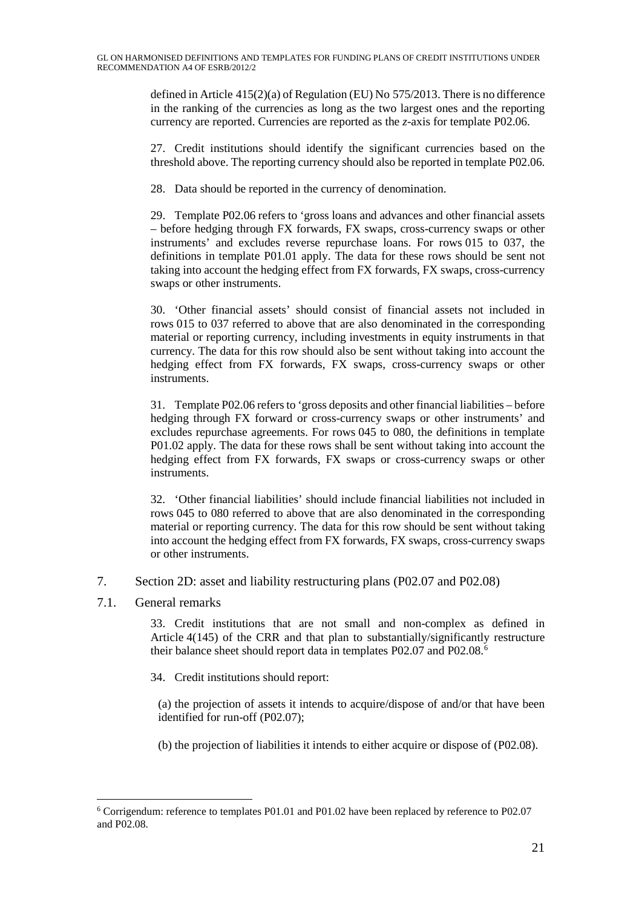defined in Article 415(2)(a) of Regulation (EU) No 575/2013. There is no difference in the ranking of the currencies as long as the two largest ones and the reporting currency are reported. Currencies are reported as the *z*-axis for template P02.06.

27. Credit institutions should identify the significant currencies based on the threshold above. The reporting currency should also be reported in template P02.06.

28. Data should be reported in the currency of denomination.

29. Template P02.06 refers to 'gross loans and advances and other financial assets – before hedging through FX forwards, FX swaps, cross-currency swaps or other instruments' and excludes reverse repurchase loans. For rows 015 to 037, the definitions in template P01.01 apply. The data for these rows should be sent not taking into account the hedging effect from FX forwards, FX swaps, cross-currency swaps or other instruments.

30. 'Other financial assets' should consist of financial assets not included in rows 015 to 037 referred to above that are also denominated in the corresponding material or reporting currency, including investments in equity instruments in that currency. The data for this row should also be sent without taking into account the hedging effect from FX forwards, FX swaps, cross-currency swaps or other instruments.

31. Template P02.06 refersto 'gross deposits and other financial liabilities – before hedging through FX forward or cross-currency swaps or other instruments' and excludes repurchase agreements. For rows 045 to 080, the definitions in template P01.02 apply. The data for these rows shall be sent without taking into account the hedging effect from FX forwards, FX swaps or cross-currency swaps or other instruments.

32. 'Other financial liabilities' should include financial liabilities not included in rows 045 to 080 referred to above that are also denominated in the corresponding material or reporting currency. The data for this row should be sent without taking into account the hedging effect from FX forwards, FX swaps, cross-currency swaps or other instruments.

7. Section 2D: asset and liability restructuring plans (P02.07 and P02.08)

7.1. General remarks

33. Credit institutions that are not small and non-complex as defined in Article 4(145) of the CRR and that plan to substantially/significantly restructure their balance sheet should report data in templates P02.07 and P02.08. [6](#page-20-0)

34. Credit institutions should report:

(a) the projection of assets it intends to acquire/dispose of and/or that have been identified for run-off (P02.07);

(b) the projection of liabilities it intends to either acquire or dispose of (P02.08).

<span id="page-20-0"></span> <sup>6</sup> Corrigendum: reference to templates P01.01 and P01.02 have been replaced by reference to P02.07 and P02.08.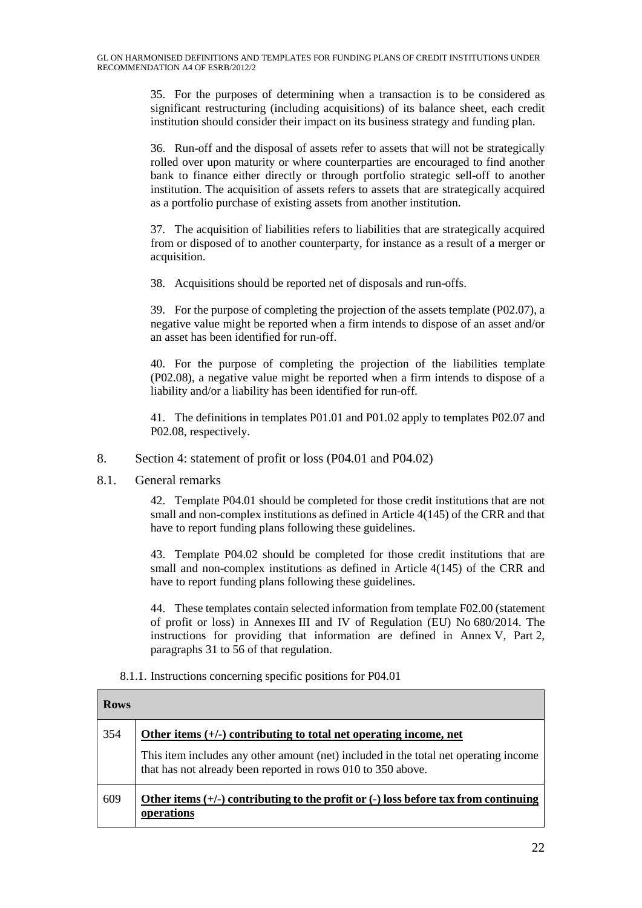35. For the purposes of determining when a transaction is to be considered as significant restructuring (including acquisitions) of its balance sheet, each credit institution should consider their impact on its business strategy and funding plan.

36. Run-off and the disposal of assets refer to assets that will not be strategically rolled over upon maturity or where counterparties are encouraged to find another bank to finance either directly or through portfolio strategic sell-off to another institution. The acquisition of assets refers to assets that are strategically acquired as a portfolio purchase of existing assets from another institution.

37. The acquisition of liabilities refers to liabilities that are strategically acquired from or disposed of to another counterparty, for instance as a result of a merger or acquisition.

38. Acquisitions should be reported net of disposals and run-offs.

39. For the purpose of completing the projection of the assets template (P02.07), a negative value might be reported when a firm intends to dispose of an asset and/or an asset has been identified for run-off.

40. For the purpose of completing the projection of the liabilities template (P02.08), a negative value might be reported when a firm intends to dispose of a liability and/or a liability has been identified for run-off.

41. The definitions in templates P01.01 and P01.02 apply to templates P02.07 and P02.08, respectively.

- 8. Section 4: statement of profit or loss (P04.01 and P04.02)
- 8.1. General remarks

42. Template P04.01 should be completed for those credit institutions that are not small and non-complex institutions as defined in Article 4(145) of the CRR and that have to report funding plans following these guidelines.

43. Template P04.02 should be completed for those credit institutions that are small and non-complex institutions as defined in Article 4(145) of the CRR and have to report funding plans following these guidelines.

44. These templates contain selected information from template F02.00 (statement of profit or loss) in Annexes III and IV of Regulation (EU) No 680/2014. The instructions for providing that information are defined in Annex V, Part 2, paragraphs 31 to 56 of that regulation.

| <b>Rows</b> |                                                                                                                                                      |
|-------------|------------------------------------------------------------------------------------------------------------------------------------------------------|
| 354         | Other items $(+/-)$ contributing to total net operating income, net                                                                                  |
|             | This item includes any other amount (net) included in the total net operating income<br>that has not already been reported in rows 010 to 350 above. |
| 609         | Other items $(+/-)$ contributing to the profit or $(-)$ loss before tax from continuing<br>operations                                                |

#### 8.1.1. Instructions concerning specific positions for P04.01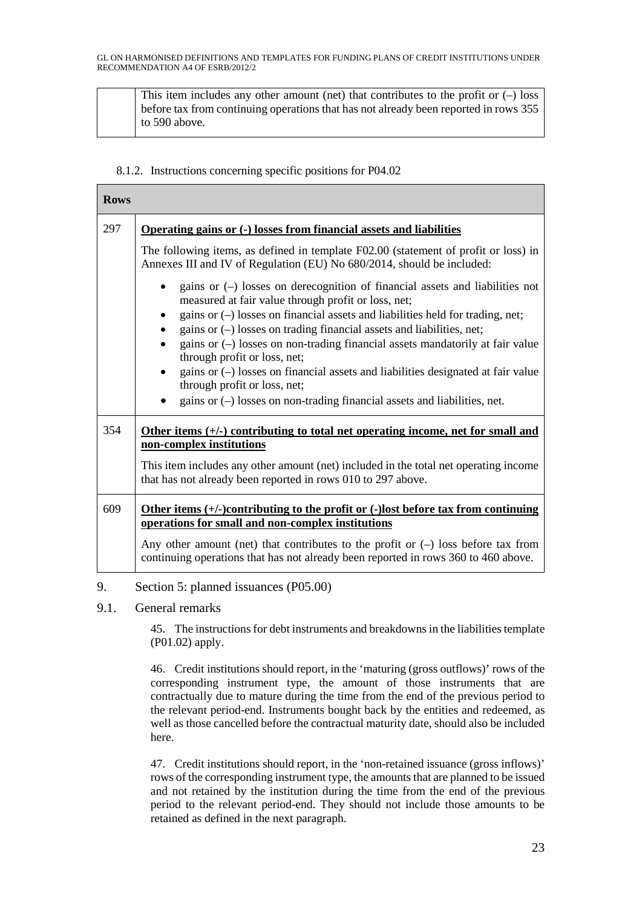This item includes any other amount (net) that contributes to the profit or  $(-)$  loss before tax from continuing operations that has not already been reported in rows 355 to 590 above.

### 8.1.2. Instructions concerning specific positions for P04.02

| <b>Rows</b> |                                                                                                                                                                                                                                                                                                                                                                                                                                                                                                                                                                                                                            |
|-------------|----------------------------------------------------------------------------------------------------------------------------------------------------------------------------------------------------------------------------------------------------------------------------------------------------------------------------------------------------------------------------------------------------------------------------------------------------------------------------------------------------------------------------------------------------------------------------------------------------------------------------|
| 297         | Operating gains or (-) losses from financial assets and liabilities                                                                                                                                                                                                                                                                                                                                                                                                                                                                                                                                                        |
|             | The following items, as defined in template F02.00 (statement of profit or loss) in<br>Annexes III and IV of Regulation (EU) No 680/2014, should be included:                                                                                                                                                                                                                                                                                                                                                                                                                                                              |
|             | gains or $(-)$ losses on derecognition of financial assets and liabilities not<br>measured at fair value through profit or loss, net;<br>gains or $(-)$ losses on financial assets and liabilities held for trading, net;<br>gains or (-) losses on trading financial assets and liabilities, net;<br>gains or $(-)$ losses on non-trading financial assets mandatorily at fair value<br>through profit or loss, net;<br>gains or $(-)$ losses on financial assets and liabilities designated at fair value<br>through profit or loss, net;<br>gains or $(-)$ losses on non-trading financial assets and liabilities, net. |
| 354         | Other items $(+)$ contributing to total net operating income, net for small and                                                                                                                                                                                                                                                                                                                                                                                                                                                                                                                                            |
|             | non-complex institutions                                                                                                                                                                                                                                                                                                                                                                                                                                                                                                                                                                                                   |
|             | This item includes any other amount (net) included in the total net operating income<br>that has not already been reported in rows 010 to 297 above.                                                                                                                                                                                                                                                                                                                                                                                                                                                                       |
| 609         | Other items $(+/-)$ contributing to the profit or $(-)$ lost before tax from continuing<br>operations for small and non-complex institutions                                                                                                                                                                                                                                                                                                                                                                                                                                                                               |
|             | Any other amount (net) that contributes to the profit or $(-)$ loss before tax from<br>continuing operations that has not already been reported in rows 360 to 460 above.                                                                                                                                                                                                                                                                                                                                                                                                                                                  |

9. Section 5: planned issuances (P05.00)

## 9.1. General remarks

45. The instructions for debt instruments and breakdowns in the liabilitiestemplate (P01.02) apply.

46. Credit institutions should report, in the 'maturing (gross outflows)' rows of the corresponding instrument type, the amount of those instruments that are contractually due to mature during the time from the end of the previous period to the relevant period-end. Instruments bought back by the entities and redeemed, as well as those cancelled before the contractual maturity date, should also be included here.

47. Credit institutions should report, in the 'non-retained issuance (gross inflows)' rows of the corresponding instrument type, the amounts that are planned to be issued and not retained by the institution during the time from the end of the previous period to the relevant period-end. They should not include those amounts to be retained as defined in the next paragraph.